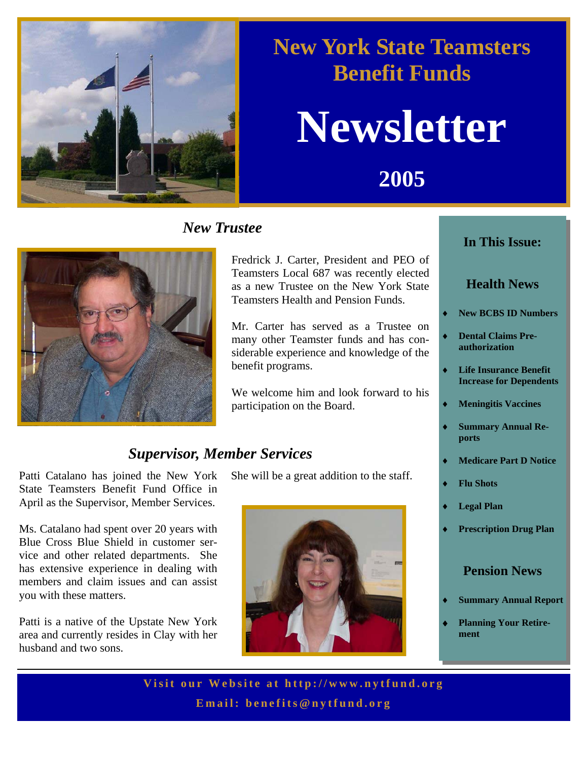

## **New York State Teamsters Benefit Funds**

## **Newsletter**

**2005** 

#### *New Trustee*



Fredrick J. Carter, President and PEO of Teamsters Local 687 was recently elected as a new Trustee on the New York State Teamsters Health and Pension Funds.

Mr. Carter has served as a Trustee on many other Teamster funds and has considerable experience and knowledge of the benefit programs.

We welcome him and look forward to his participation on the Board.

#### *Supervisor, Member Services*

Patti Catalano has joined the New York State Teamsters Benefit Fund Office in April as the Supervisor, Member Services.

Ms. Catalano had spent over 20 years with Blue Cross Blue Shield in customer service and other related departments. She has extensive experience in dealing with members and claim issues and can assist you with these matters.

Patti is a native of the Upstate New York area and currently resides in Clay with her husband and two sons.

She will be a great addition to the staff.



#### **In This Issue:**

#### **Health News**

- **New BCBS ID Numbers**
- **Dental Claims Preauthorization**
- **Life Insurance Benefit Increase for Dependents**
- **Meningitis Vaccines**
- **Summary Annual Reports**
- **Medicare Part D Notice**
- ♦ **Flu Shots**
- **Legal Plan**
- **Prescription Drug Plan**

#### **Pension News**

- **Summary Annual Report**
- **Planning Your Retirement**

**Visit our Website at h ttp://www.nytfund.org Email: benefits@nytfund.org**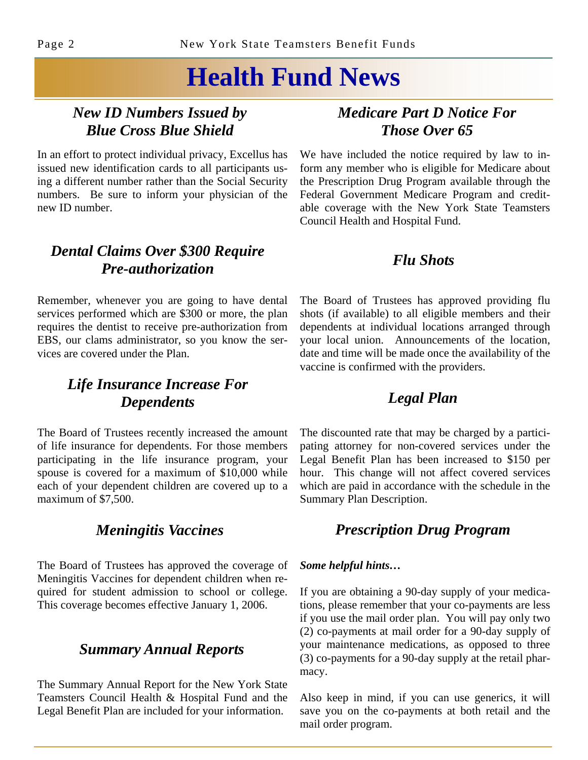## **Health Fund News**

#### *New ID Numbers Issued by Blue Cross Blue Shield*

In an effort to protect individual privacy, Excellus has issued new identification cards to all participants using a different number rather than the Social Security numbers. Be sure to inform your physician of the new ID number.

#### *Dental Claims Over \$300 Require Pre-authorization*

Remember, whenever you are going to have dental services performed which are \$300 or more, the plan requires the dentist to receive pre-authorization from EBS, our clams administrator, so you know the services are covered under the Plan.

#### *Life Insurance Increase For Dependents*

The Board of Trustees recently increased the amount of life insurance for dependents. For those members participating in the life insurance program, your spouse is covered for a maximum of \$10,000 while each of your dependent children are covered up to a maximum of \$7,500.

#### *Meningitis Vaccines*

The Board of Trustees has approved the coverage of Meningitis Vaccines for dependent children when required for student admission to school or college. This coverage becomes effective January 1, 2006.

#### *Summary Annual Reports*

The Summary Annual Report for the New York State Teamsters Council Health & Hospital Fund and the Legal Benefit Plan are included for your information.

#### *Medicare Part D Notice For Those Over 65*

We have included the notice required by law to inform any member who is eligible for Medicare about the Prescription Drug Program available through the Federal Government Medicare Program and creditable coverage with the New York State Teamsters Council Health and Hospital Fund.

#### *Flu Shots*

The Board of Trustees has approved providing flu shots (if available) to all eligible members and their dependents at individual locations arranged through your local union. Announcements of the location, date and time will be made once the availability of the vaccine is confirmed with the providers.

#### *Legal Plan*

The discounted rate that may be charged by a participating attorney for non-covered services under the Legal Benefit Plan has been increased to \$150 per hour. This change will not affect covered services which are paid in accordance with the schedule in the Summary Plan Description.

#### *Prescription Drug Program*

#### *Some helpful hints…*

If you are obtaining a 90-day supply of your medications, please remember that your co-payments are less if you use the mail order plan. You will pay only two (2) co-payments at mail order for a 90-day supply of your maintenance medications, as opposed to three (3) co-payments for a 90-day supply at the retail pharmacy.

Also keep in mind, if you can use generics, it will save you on the co-payments at both retail and the mail order program.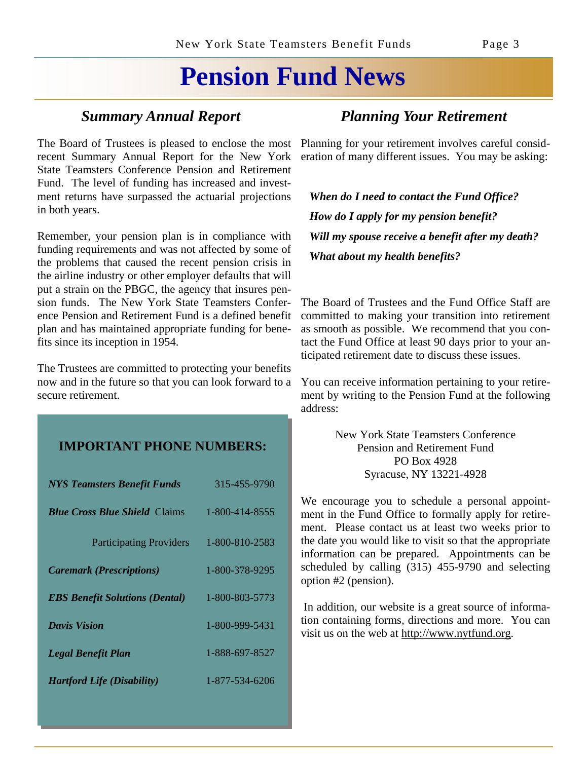## **Pension Fund News**

The Board of Trustees is pleased to enclose the most recent Summary Annual Report for the New York State Teamsters Conference Pension and Retirement Fund. The level of funding has increased and investment returns have surpassed the actuarial projections in both years.

Remember, your pension plan is in compliance with funding requirements and was not affected by some of the problems that caused the recent pension crisis in the airline industry or other employer defaults that will put a strain on the PBGC, the agency that insures pension funds. The New York State Teamsters Conference Pension and Retirement Fund is a defined benefit plan and has maintained appropriate funding for benefits since its inception in 1954.

The Trustees are committed to protecting your benefits now and in the future so that you can look forward to a secure retirement.

#### **IMPORTANT PHONE NUMBERS:**

| <b>NYS Teamsters Benefit Funds</b>    | 315-455-9790   |
|---------------------------------------|----------------|
| <b>Blue Cross Blue Shield Claims</b>  | 1-800-414-8555 |
| <b>Participating Providers</b>        | 1-800-810-2583 |
| <b>Caremark (Prescriptions)</b>       | 1-800-378-9295 |
| <b>EBS Benefit Solutions (Dental)</b> | 1-800-803-5773 |
| <b>Davis Vision</b>                   | 1-800-999-5431 |
| <b>Legal Benefit Plan</b>             | 1-888-697-8527 |
| <b>Hartford Life (Disability)</b>     | 1-877-534-6206 |

#### *Summary Annual Report Planning Your Retirement*

Planning for your retirement involves careful consideration of many different issues. You may be asking:

 *When do I need to contact the Fund Office? How do I apply for my pension benefit? Will my spouse receive a benefit after my death? What about my health benefits?*

The Board of Trustees and the Fund Office Staff are committed to making your transition into retirement as smooth as possible. We recommend that you contact the Fund Office at least 90 days prior to your anticipated retirement date to discuss these issues.

You can receive information pertaining to your retirement by writing to the Pension Fund at the following address:

> New York State Teamsters Conference Pension and Retirement Fund PO Box 4928 Syracuse, NY 13221-4928

We encourage you to schedule a personal appointment in the Fund Office to formally apply for retirement. Please contact us at least two weeks prior to the date you would like to visit so that the appropriate information can be prepared. Appointments can be scheduled by calling (315) 455-9790 and selecting option #2 (pension).

 In addition, our website is a great source of information containing forms, directions and more. You can visit us on the web at http://www.nytfund.org.